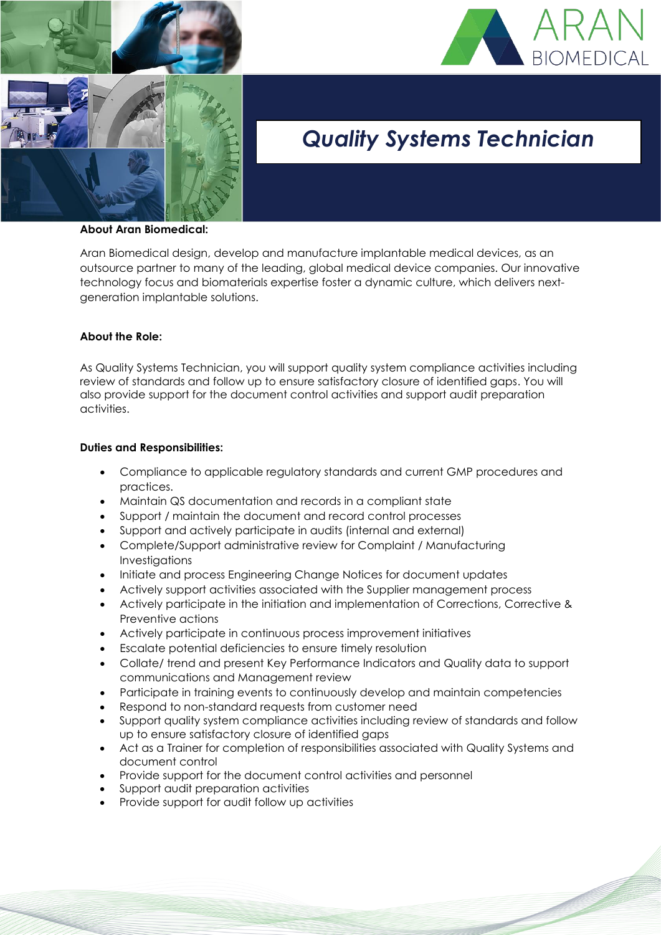



# *Quality Systems Technician*

#### **About Aran Biomedical:**

Aran Biomedical design, develop and manufacture implantable medical devices, as an outsource partner to many of the leading, global medical device companies. Our innovative technology focus and biomaterials expertise foster a dynamic culture, which delivers nextgeneration implantable solutions.

### **About the Role:**

As Quality Systems Technician, you will support quality system compliance activities including review of standards and follow up to ensure satisfactory closure of identified gaps. You will also provide support for the document control activities and support audit preparation activities.

### **Duties and Responsibilities:**

- Compliance to applicable regulatory standards and current GMP procedures and practices.
- Maintain QS documentation and records in a compliant state
- Support / maintain the document and record control processes
- Support and actively participate in audits (internal and external)
- Complete/Support administrative review for Complaint / Manufacturing Investigations
- Initiate and process Engineering Change Notices for document updates
- Actively support activities associated with the Supplier management process
- Actively participate in the initiation and implementation of Corrections, Corrective & Preventive actions
- Actively participate in continuous process improvement initiatives
- Escalate potential deficiencies to ensure timely resolution
- Collate/ trend and present Key Performance Indicators and Quality data to support communications and Management review
- Participate in training events to continuously develop and maintain competencies
- Respond to non-standard requests from customer need
- Support quality system compliance activities including review of standards and follow up to ensure satisfactory closure of identified gaps
- Act as a Trainer for completion of responsibilities associated with Quality Systems and document control
- Provide support for the document control activities and personnel
- Support audit preparation activities
- Provide support for audit follow up activities